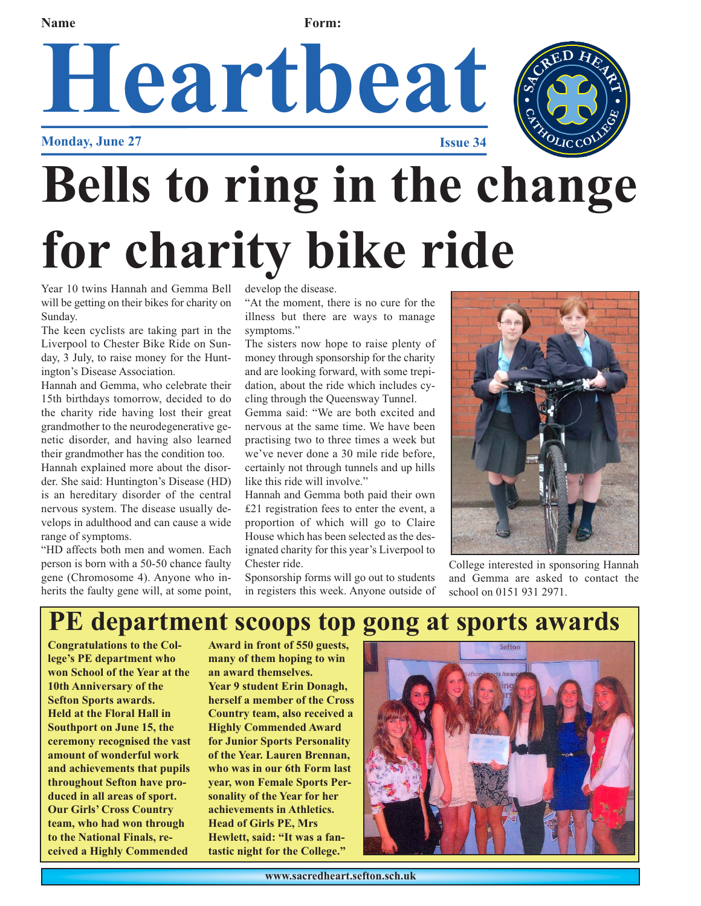**Name Form:** 

### **Heartbeat Monday, June 27 Issue 34**

# **Bells to ring in the change for charity bike ride**

Year 10 twins Hannah and Gemma Bell will be getting on their bikes for charity on Sunday.

The keen cyclists are taking part in the Liverpool to Chester Bike Ride on Sunday, 3 July, to raise money for the Huntington's Disease Association.

Hannah and Gemma, who celebrate their 15th birthdays tomorrow, decided to do the charity ride having lost their great grandmother to the neurodegenerative genetic disorder, and having also learned their grandmother has the condition too.

Hannah explained more about the disorder. She said: Huntington's Disease (HD) is an hereditary disorder of the central nervous system. The disease usually develops in adulthood and can cause a wide range of symptoms.

"HD affects both men and women. Each person is born with a 50-50 chance faulty gene (Chromosome 4). Anyone who inherits the faulty gene will, at some point, develop the disease.

"At the moment, there is no cure for the illness but there are ways to manage symptoms."

The sisters now hope to raise plenty of money through sponsorship for the charity and are looking forward, with some trepidation, about the ride which includes cycling through the Queensway Tunnel.

Gemma said: "We are both excited and nervous at the same time. We have been practising two to three times a week but we've never done a 30 mile ride before, certainly not through tunnels and up hills like this ride will involve."

Hannah and Gemma both paid their own £21 registration fees to enter the event, a proportion of which will go to Claire House which has been selected as the designated charity for this year's Liverpool to Chester ride.

Sponsorship forms will go out to students in registers this week. Anyone outside of



College interested in sponsoring Hannah and Gemma are asked to contact the school on 0151 931 2971.

### **PE department scoops top gong at sports awards**

**Congratulations to the College's PE department who won School of the Year at the 10th Anniversary of the Sefton Sports awards. Held at the Floral Hall in Southport on June 15, the ceremony recognised the vast amount of wonderful work and achievements that pupils throughout Sefton have produced in all areas of sport. Our Girls' Cross Country team, who had won through to the National Finals, received a Highly Commended**

**Award in front of 550 guests, many of them hoping to win an award themselves.** 

**Year 9 student Erin Donagh, herself a member of the Cross Country team, also received a Highly Commended Award for Junior Sports Personality of the Year. Lauren Brennan, who was in our 6th Form last year, won Female Sports Personality of the Year for her achievements in Athletics. Head of Girls PE, Mrs Hewlett, said: "It was a fantastic night for the College."**